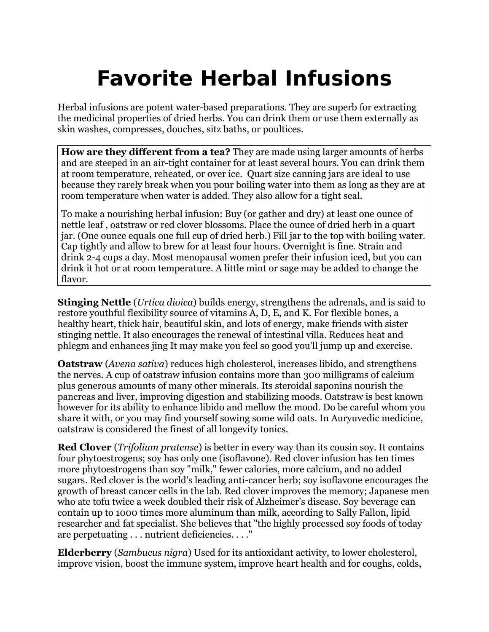## **Favorite Herbal Infusions**

[Herbal](http://www.herbalremediesinfo.com/infusions.html) infusions are potent water-based preparations. They are superb for extracting the medicinal properties of dried herbs. You can drink them or use them externally as skin washes, compresses, douches, sitz baths, or poultices.

**How are they different from a tea?** They are made using larger amounts of herbs and are steeped in an air-tight container for at least several hours. You can drink them at room temperature, reheated, or over ice. Quart size canning jars are ideal to use because they rarely break when you pour boiling water into them as long as they are at room temperature when water is added. They also allow for a tight seal.

To make a nourishing herbal infusion: Buy (or gather and dry) at least one ounce of nettle leaf , oatstraw or red clover blossoms. Place the ounce of dried herb in a quart jar. (One ounce equals one full cup of dried herb.) Fill jar to the top with boiling water. Cap tightly and allow to brew for at least four hours. Overnight is fine. Strain and drink 2-4 cups a day. Most menopausal women prefer their infusion iced, but you can drink it hot or at room temperature. A little mint or sage may be added to change the flavor.

**Stinging Nettle** (*Urtica dioica*) builds energy, strengthens the adrenals, and is said to restore youthful flexibility source of vitamins A, D, E, and K. For flexible bones, a healthy heart, thick hair, beautiful skin, and lots of energy, make friends with sister stinging nettle. It also encourages the renewal of intestinal villa. Reduces heat and phlegm and enhances jing It may make you feel so good you'll jump up and exercise.

**Oatstraw** (*Avena sativa*) reduces high cholesterol, increases libido, and strengthens the nerves. A cup of oatstraw infusion contains more than 300 milligrams of calcium plus generous amounts of many other minerals. Its steroidal saponins nourish the pancreas and liver, improving digestion and stabilizing moods. Oatstraw is best known however for its ability to enhance libido and mellow the mood. Do be careful whom you share it with, or you may find yourself sowing some wild oats. In Auryuvedic medicine, oatstraw is considered the finest of all longevity tonics.

**Red Clover** (*Trifolium pratense*) is better in every way than its cousin soy. It contains four phytoestrogens; soy has only one (isoflavone). Red clover infusion has ten times more phytoestrogens than soy "milk," fewer calories, more calcium, and no added sugars. Red clover is the world's leading anti-cancer herb; soy isoflavone encourages the growth of breast cancer cells in the lab. Red clover improves the memory; Japanese men who ate tofu twice a week doubled their risk of Alzheimer's disease. Soy beverage can contain up to 1000 times more aluminum than milk, according to Sally Fallon, lipid researcher and fat specialist. She believes that "the highly processed soy foods of today are perpetuating . . . nutrient deficiencies. . . ."

**Elderberry** (*Sambucus nigra*) Used for its antioxidant activity, to lower cholesterol, improve vision, boost the immune system, improve heart health and for coughs, colds,